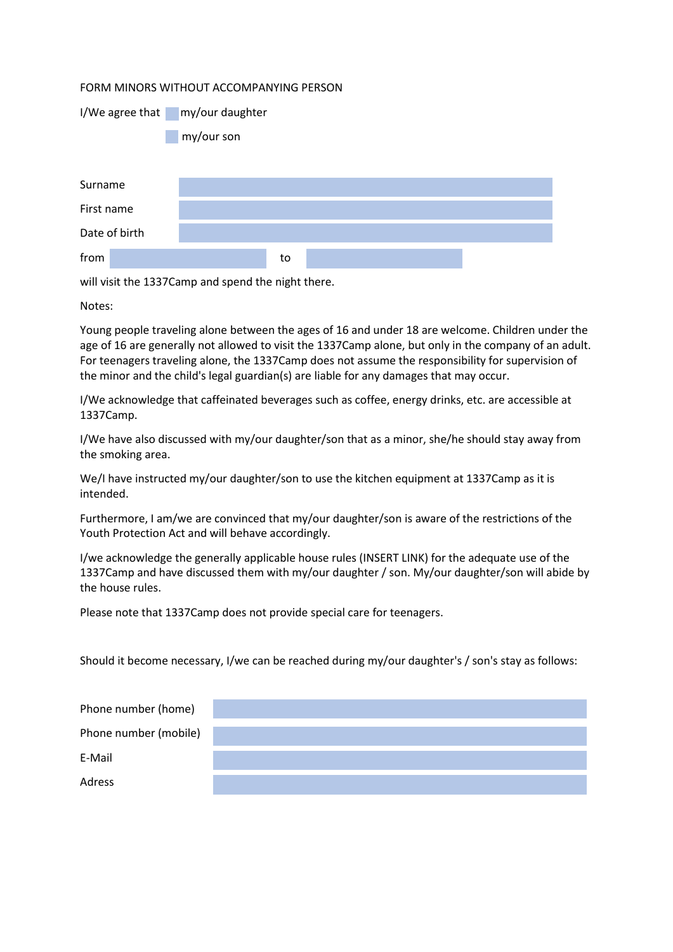## FORM MINORS WITHOUT ACCOMPANYING PERSON

| I/We agree that | my/our daughter |
|-----------------|-----------------|
|                 |                 |

my/our son

| Surname       |    |  |
|---------------|----|--|
| First name    |    |  |
| Date of birth |    |  |
| from          | to |  |

will visit the 1337Camp and spend the night there.

Notes:

Young people traveling alone between the ages of 16 and under 18 are welcome. Children under the age of 16 are generally not allowed to visit the 1337Camp alone, but only in the company of an adult. For teenagers traveling alone, the 1337Camp does not assume the responsibility for supervision of the minor and the child's legal guardian(s) are liable for any damages that may occur.

I/We acknowledge that caffeinated beverages such as coffee, energy drinks, etc. are accessible at 1337Camp.

I/We have also discussed with my/our daughter/son that as a minor, she/he should stay away from the smoking area.

We/I have instructed my/our daughter/son to use the kitchen equipment at 1337Camp as it is intended.

Furthermore, I am/we are convinced that my/our daughter/son is aware of the restrictions of the Youth Protection Act and will behave accordingly.

I/we acknowledge the generally applicable house rules (INSERT LINK) for the adequate use of the 1337Camp and have discussed them with my/our daughter / son. My/our daughter/son will abide by the house rules.

Please note that 1337Camp does not provide special care for teenagers.

Should it become necessary, I/we can be reached during my/our daughter's / son's stay as follows:

| Phone number (home)   |  |
|-----------------------|--|
| Phone number (mobile) |  |
| E-Mail                |  |
| Adress                |  |